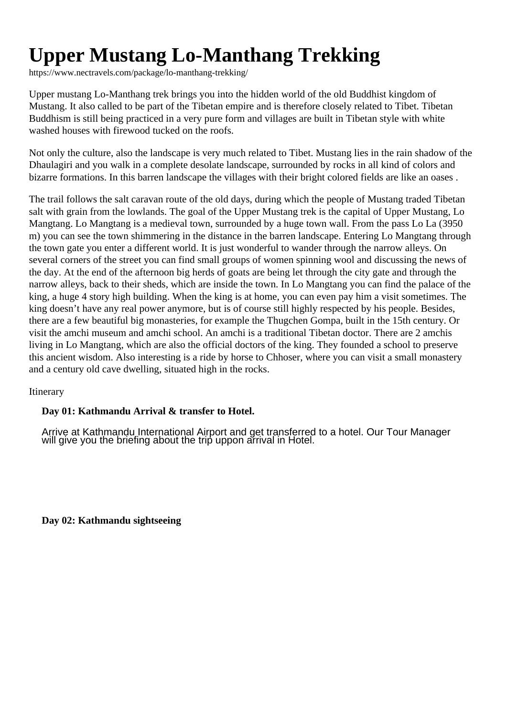# **Upper Mustang Lo-Manthang Trekking**

https://www.nectravels.com/package/lo-manthang-trekking/

Upper mustang Lo-Manthang trek brings you into the hidden world of the old Buddhist kingdom of Mustang. It also called to be part of the Tibetan empire and is therefore closely related to Tibet. Tibetan Buddhism is still being practiced in a very pure form and villages are built in Tibetan style with white washed houses with firewood tucked on the roofs.

Not only the culture, also the landscape is very much related to Tibet. Mustang lies in the rain shadow of the Dhaulagiri and you walk in a complete desolate landscape, surrounded by rocks in all kind of colors and bizarre formations. In this barren landscape the villages with their bright colored fields are like an oases .

The trail follows the salt caravan route of the old days, during which the people of Mustang traded Tibetan salt with grain from the lowlands. The goal of the Upper Mustang trek is the capital of Upper Mustang, Lo Mangtang. Lo Mangtang is a medieval town, surrounded by a huge town wall. From the pass Lo La (3950 m) you can see the town shimmering in the distance in the barren landscape. Entering Lo Mangtang through the town gate you enter a different world. It is just wonderful to wander through the narrow alleys. On several corners of the street you can find small groups of women spinning wool and discussing the news of the day. At the end of the afternoon big herds of goats are being let through the city gate and through the narrow alleys, back to their sheds, which are inside the town. In Lo Mangtang you can find the palace of the king, a huge 4 story high building. When the king is at home, you can even pay him a visit sometimes. The king doesn't have any real power anymore, but is of course still highly respected by his people. Besides, there are a few beautiful big monasteries, for example the Thugchen Gompa, built in the 15th century. Or visit the amchi museum and amchi school. An amchi is a traditional Tibetan doctor. There are 2 amchis living in Lo Mangtang, which are also the official doctors of the king. They founded a school to preserve this ancient wisdom. Also interesting is a ride by horse to Chhoser, where you can visit a small monastery and a century old cave dwelling, situated high in the rocks.

# Itinerary

# **Day 01: Kathmandu Arrival & transfer to Hotel.**

Arrive at Kathmandu International Airport and get transferred to a hotel. Our Tour Manager will give you the briefing about the trip uppon arrival in Hotel.

**Day 02: Kathmandu sightseeing**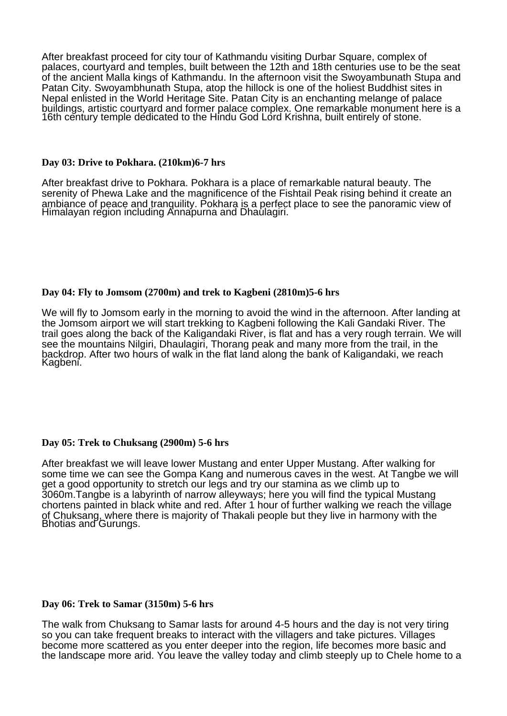After breakfast proceed for city tour of Kathmandu visiting Durbar Square, complex of palaces, courtyard and temples, built between the 12th and 18th centuries use to be the seat of the ancient Malla kings of Kathmandu. In the afternoon visit the Swoyambunath Stupa and Patan City. Swoyambhunath Stupa, atop the hillock is one of the holiest Buddhist sites in Nepal enlisted in the World Heritage Site. Patan City is an enchanting melange of palace buildings, artistic courtyard and former palace complex. One remarkable monument here is a 16th century temple dedicated to the Hindu God Lord Krishna, built entirely of stone.

#### **Day 03: Drive to Pokhara. (210km)6-7 hrs**

After breakfast drive to Pokhara. Pokhara is a place of remarkable natural beauty. The serenity of Phewa Lake and the magnificence of the Fishtail Peak rising behind it create an ambiance of peace and tranquility. Pokhara is a perfect place to see the panoramic view of Himalayan region including Annapurna and Dhaulagiri.

## **Day 04: Fly to Jomsom (2700m) and trek to Kagbeni (2810m)5-6 hrs**

We will fly to Jomsom early in the morning to avoid the wind in the afternoon. After landing at the Jomsom airport we will start trekking to Kagbeni following the Kali Gandaki River. The trail goes along the back of the Kaligandaki River, is flat and has a very rough terrain. We will see the mountains Nilgiri, Dhaulagiri, Thorang peak and many more from the trail, in the backdrop. After two hours of walk in the flat land along the bank of Kaligandaki, we reach Kagbeni.

## **Day 05: Trek to Chuksang (2900m) 5-6 hrs**

After breakfast we will leave lower Mustang and enter Upper Mustang. After walking for some time we can see the Gompa Kang and numerous caves in the west. At Tangbe we will get a good opportunity to stretch our legs and try our stamina as we climb up to 3060m.Tangbe is a labyrinth of narrow alleyways; here you will find the typical Mustang chortens painted in black white and red. After 1 hour of further walking we reach the village of Chuksang, where there is majority of Thakali people but they live in harmony with the Bhotias and Gurungs.

#### **Day 06: Trek to Samar (3150m) 5-6 hrs**

The walk from Chuksang to Samar lasts for around 4-5 hours and the day is not very tiring so you can take frequent breaks to interact with the villagers and take pictures. Villages become more scattered as you enter deeper into the region, life becomes more basic and the landscape more arid. You leave the valley today and climb steeply up to Chele home to a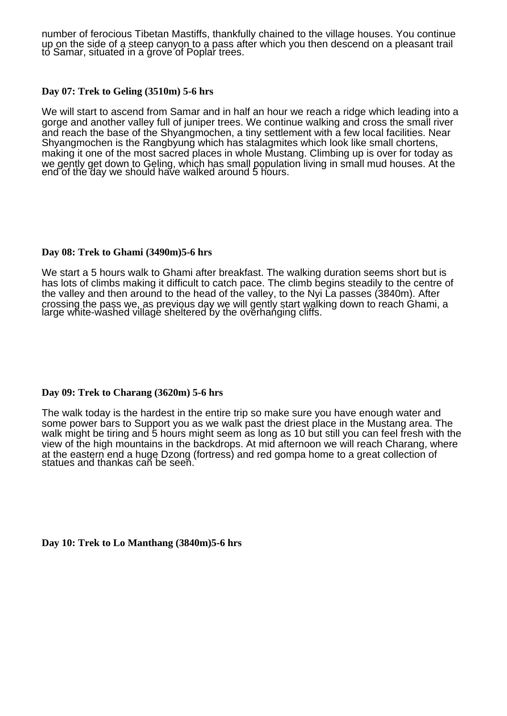number of ferocious Tibetan Mastiffs, thankfully chained to the village houses. You continue up on the side of a steep canyon to a pass after which you then descend on a pleasant trail to Samar, situated in a grove of Poplar trees.

## **Day 07: Trek to Geling (3510m) 5-6 hrs**

We will start to ascend from Samar and in half an hour we reach a ridge which leading into a gorge and another valley full of juniper trees. We continue walking and cross the small river and reach the base of the Shyangmochen, a tiny settlement with a few local facilities. Near Shyangmochen is the Rangbyung which has stalagmites which look like small chortens, making it one of the most sacred places in whole Mustang. Climbing up is over for today as we gently get down to Geling, which has small population living in small mud houses. At the end of the day we should have walked around 5 hours.

#### **Day 08: Trek to Ghami (3490m)5-6 hrs**

We start a 5 hours walk to Ghami after breakfast. The walking duration seems short but is has lots of climbs making it difficult to catch pace. The climb begins steadily to the centre of the valley and then around to the head of the valley, to the Nyi La passes (3840m). After crossing the pass we, as previous day we will gently start walking down to reach Ghami, a large white-washed village sheltered by the overhanging cliffs.

## **Day 09: Trek to Charang (3620m) 5-6 hrs**

The walk today is the hardest in the entire trip so make sure you have enough water and some power bars to Support you as we walk past the driest place in the Mustang area. The walk might be tiring and 5 hours might seem as long as 10 but still you can feel fresh with the view of the high mountains in the backdrops. At mid afternoon we will reach Charang, where at the eastern end a huge Dzong (fortress) and red gompa home to a great collection of statues and thankas can be seen.

**Day 10: Trek to Lo Manthang (3840m)5-6 hrs**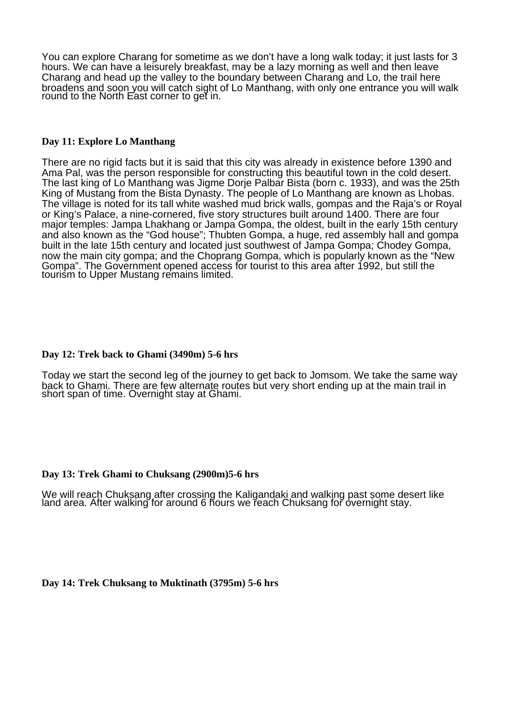You can explore Charang for sometime as we don't have a long walk today; it just lasts for 3 hours. We can have a leisurely breakfast, may be a lazy morning as well and then leave Charang and head up the valley to the boundary between Charang and Lo, the trail here broadens and soon you will catch sight of Lo Manthang, with only one entrance you will walk round to the North East corner to get in.

# **Day 11: Explore Lo Manthang**

There are no rigid facts but it is said that this city was already in existence before 1390 and Ama Pal, was the person responsible for constructing this beautiful town in the cold desert. The last king of Lo Manthang was Jigme Dorje Palbar Bista (born c. 1933), and was the 25th King of Mustang from the Bista Dynasty. The people of Lo Manthang are known as Lhobas. The village is noted for its tall white washed mud brick walls, gompas and the Raja's or Royal or King's Palace, a nine-cornered, five story structures built around 1400. There are four major temples: Jampa Lhakhang or Jampa Gompa, the oldest, built in the early 15th century and also known as the "God house"; Thubten Gompa, a huge, red assembly hall and gompa built in the late 15th century and located just southwest of Jampa Gompa; Chodey Gompa, now the main city gompa; and the Choprang Gompa, which is popularly known as the "New Gompa". The Government opened access for tourist to this area after 1992, but still the tourism to Upper Mustang remains limited.

## **Day 12: Trek back to Ghami (3490m) 5-6 hrs**

Today we start the second leg of the journey to get back to Jomsom. We take the same way back to Ghami. There are few alternate routes but very short ending up at the main trail in short span of time. Overnight stay at Ghami.

## **Day 13: Trek Ghami to Chuksang (2900m)5-6 hrs**

We will reach Chuksang after crossing the Kaligandaki and walking past some desert like land area. After walking for around 6 hours we reach Chuksang for overnight stay.

**Day 14: Trek Chuksang to Muktinath (3795m) 5-6 hrs**